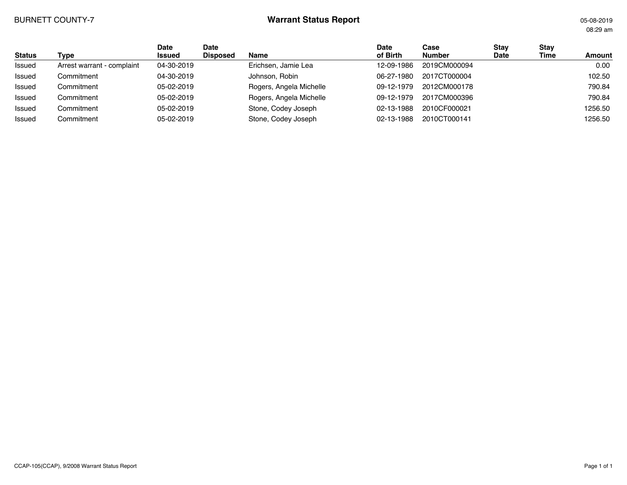## BURNETT COUNTY-7 **Warrant Status Report** 05-08-2019

08:29 am

| <b>Status</b> | Type                       | <b>Date</b><br><b>Issued</b> | Date<br><b>Disposed</b> | <b>Name</b>             | <b>Date</b><br>of Birth | Case<br><b>Number</b> | Stav<br>Date | Stay<br>Time | <b>Amount</b> |
|---------------|----------------------------|------------------------------|-------------------------|-------------------------|-------------------------|-----------------------|--------------|--------------|---------------|
| Issued        | Arrest warrant - complaint | 04-30-2019                   |                         | Erichsen, Jamie Lea     | 12-09-1986              | 2019CM000094          |              |              | 0.00          |
| Issued        | Commitment                 | 04-30-2019                   |                         | Johnson, Robin          | 06-27-1980              | 2017CT000004          |              |              | 102.50        |
| Issued        | Commitment                 | 05-02-2019                   |                         | Rogers, Angela Michelle | 09-12-1979              | 2012CM000178          |              |              | 790.84        |
| Issued        | Commitment                 | 05-02-2019                   |                         | Rogers, Angela Michelle | 09-12-1979              | 2017CM000396          |              |              | 790.84        |
| Issued        | Commitment                 | 05-02-2019                   |                         | Stone, Codey Joseph     | 02-13-1988              | 2010CF000021          |              |              | 1256.50       |
| Issued        | Commitment                 | 05-02-2019                   |                         | Stone, Codey Joseph     | 02-13-1988              | 2010CT000141          |              |              | 1256.50       |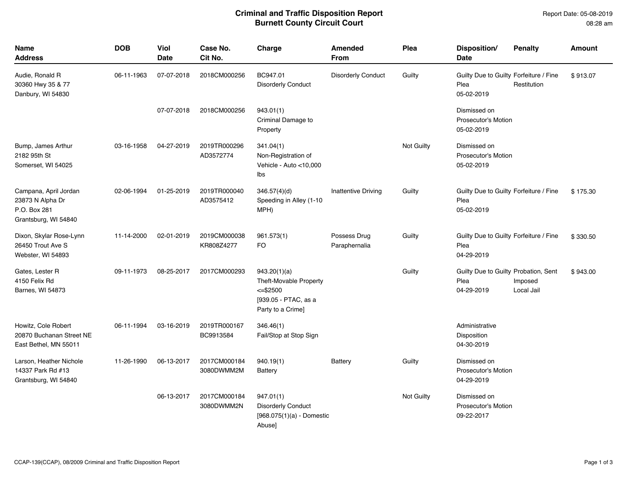## **Criminal and Traffic Disposition Report Burnett County Circuit Court**

| Name<br><b>Address</b>                                                            | <b>DOB</b> | <b>Viol</b><br><b>Date</b> | Case No.<br>Cit No.        | Charge                                                                                                    | Amended<br><b>From</b>        | Plea       | Disposition/<br><b>Date</b>                                  | <b>Penalty</b>        | Amount   |
|-----------------------------------------------------------------------------------|------------|----------------------------|----------------------------|-----------------------------------------------------------------------------------------------------------|-------------------------------|------------|--------------------------------------------------------------|-----------------------|----------|
| Audie, Ronald R<br>30360 Hwy 35 & 77<br>Danbury, WI 54830                         | 06-11-1963 | 07-07-2018                 | 2018CM000256               | BC947.01<br><b>Disorderly Conduct</b>                                                                     | <b>Disorderly Conduct</b>     | Guilty     | Guilty Due to Guilty Forfeiture / Fine<br>Plea<br>05-02-2019 | Restitution           | \$913.07 |
|                                                                                   |            | 07-07-2018                 | 2018CM000256               | 943.01(1)<br>Criminal Damage to<br>Property                                                               |                               |            | Dismissed on<br>Prosecutor's Motion<br>05-02-2019            |                       |          |
| Bump, James Arthur<br>2182 95th St<br>Somerset, WI 54025                          | 03-16-1958 | 04-27-2019                 | 2019TR000296<br>AD3572774  | 341.04(1)<br>Non-Registration of<br>Vehicle - Auto <10,000<br>lbs                                         |                               | Not Guilty | Dismissed on<br><b>Prosecutor's Motion</b><br>05-02-2019     |                       |          |
| Campana, April Jordan<br>23873 N Alpha Dr<br>P.O. Box 281<br>Grantsburg, WI 54840 | 02-06-1994 | 01-25-2019                 | 2019TR000040<br>AD3575412  | 346.57(4)(d)<br>Speeding in Alley (1-10<br>MPH)                                                           | <b>Inattentive Driving</b>    | Guilty     | Guilty Due to Guilty Forfeiture / Fine<br>Plea<br>05-02-2019 |                       | \$175.30 |
| Dixon, Skylar Rose-Lynn<br>26450 Trout Ave S<br>Webster, WI 54893                 | 11-14-2000 | 02-01-2019                 | 2019CM000038<br>KR808Z4277 | 961.573(1)<br>FO                                                                                          | Possess Drug<br>Paraphernalia | Guilty     | Guilty Due to Guilty Forfeiture / Fine<br>Plea<br>04-29-2019 |                       | \$330.50 |
| Gates, Lester R<br>4150 Felix Rd<br>Barnes, WI 54873                              | 09-11-1973 | 08-25-2017                 | 2017CM000293               | 943.20(1)(a)<br><b>Theft-Movable Property</b><br>$<=$ \$2500<br>[939.05 - PTAC, as a<br>Party to a Crime] |                               | Guilty     | Guilty Due to Guilty Probation, Sent<br>Plea<br>04-29-2019   | Imposed<br>Local Jail | \$943.00 |
| Howitz, Cole Robert<br>20870 Buchanan Street NE<br>East Bethel, MN 55011          | 06-11-1994 | 03-16-2019                 | 2019TR000167<br>BC9913584  | 346.46(1)<br>Fail/Stop at Stop Sign                                                                       |                               |            | Administrative<br>Disposition<br>04-30-2019                  |                       |          |
| Larson, Heather Nichole<br>14337 Park Rd #13<br>Grantsburg, WI 54840              | 11-26-1990 | 06-13-2017                 | 2017CM000184<br>3080DWMM2M | 940.19(1)<br>Battery                                                                                      | <b>Battery</b>                | Guilty     | Dismissed on<br>Prosecutor's Motion<br>04-29-2019            |                       |          |
|                                                                                   |            | 06-13-2017                 | 2017CM000184<br>3080DWMM2N | 947.01(1)<br><b>Disorderly Conduct</b><br>$[968.075(1)(a)$ - Domestic<br>Abuse]                           |                               | Not Guilty | Dismissed on<br><b>Prosecutor's Motion</b><br>09-22-2017     |                       |          |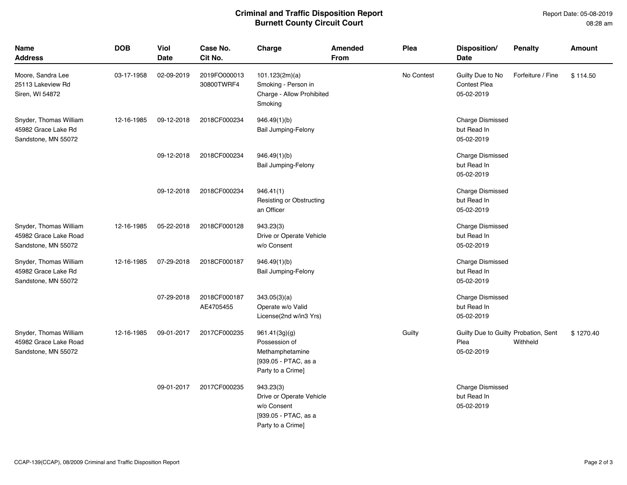## **Criminal and Traffic Disposition Report Burnett County Circuit Court**

| <b>Name</b><br><b>Address</b>                                          | <b>DOB</b> | <b>Viol</b><br><b>Date</b> | Case No.<br>Cit No.        | Charge                                                                                            | Amended<br>From | Plea       | Disposition/<br><b>Date</b>                                | <b>Penalty</b>    | <b>Amount</b> |
|------------------------------------------------------------------------|------------|----------------------------|----------------------------|---------------------------------------------------------------------------------------------------|-----------------|------------|------------------------------------------------------------|-------------------|---------------|
| Moore, Sandra Lee<br>25113 Lakeview Rd<br>Siren, WI 54872              | 03-17-1958 | 02-09-2019                 | 2019FO000013<br>30800TWRF4 | 101.123(2m)(a)<br>Smoking - Person in<br>Charge - Allow Prohibited<br>Smoking                     |                 | No Contest | Guilty Due to No<br><b>Contest Plea</b><br>05-02-2019      | Forfeiture / Fine | \$114.50      |
| Snyder, Thomas William<br>45982 Grace Lake Rd<br>Sandstone, MN 55072   | 12-16-1985 | 09-12-2018                 | 2018CF000234               | 946.49(1)(b)<br><b>Bail Jumping-Felony</b>                                                        |                 |            | <b>Charge Dismissed</b><br>but Read In<br>05-02-2019       |                   |               |
|                                                                        |            | 09-12-2018                 | 2018CF000234               | 946.49(1)(b)<br>Bail Jumping-Felony                                                               |                 |            | <b>Charge Dismissed</b><br>but Read In<br>05-02-2019       |                   |               |
|                                                                        |            | 09-12-2018                 | 2018CF000234               | 946.41(1)<br>Resisting or Obstructing<br>an Officer                                               |                 |            | <b>Charge Dismissed</b><br>but Read In<br>05-02-2019       |                   |               |
| Snyder, Thomas William<br>45982 Grace Lake Road<br>Sandstone, MN 55072 | 12-16-1985 | 05-22-2018                 | 2018CF000128               | 943.23(3)<br>Drive or Operate Vehicle<br>w/o Consent                                              |                 |            | <b>Charge Dismissed</b><br>but Read In<br>05-02-2019       |                   |               |
| Snyder, Thomas William<br>45982 Grace Lake Rd<br>Sandstone, MN 55072   | 12-16-1985 | 07-29-2018                 | 2018CF000187               | 946.49(1)(b)<br><b>Bail Jumping-Felony</b>                                                        |                 |            | <b>Charge Dismissed</b><br>but Read In<br>05-02-2019       |                   |               |
|                                                                        |            | 07-29-2018                 | 2018CF000187<br>AE4705455  | 343.05(3)(a)<br>Operate w/o Valid<br>License(2nd w/in3 Yrs)                                       |                 |            | <b>Charge Dismissed</b><br>but Read In<br>05-02-2019       |                   |               |
| Snyder, Thomas William<br>45982 Grace Lake Road<br>Sandstone, MN 55072 | 12-16-1985 | 09-01-2017                 | 2017CF000235               | 961.41(3g)(g)<br>Possession of<br>Methamphetamine<br>[939.05 - PTAC, as a<br>Party to a Crime]    |                 | Guilty     | Guilty Due to Guilty Probation, Sent<br>Plea<br>05-02-2019 | Withheld          | \$1270.40     |
|                                                                        |            | 09-01-2017                 | 2017CF000235               | 943.23(3)<br>Drive or Operate Vehicle<br>w/o Consent<br>[939.05 - PTAC, as a<br>Party to a Crime] |                 |            | <b>Charge Dismissed</b><br>but Read In<br>05-02-2019       |                   |               |